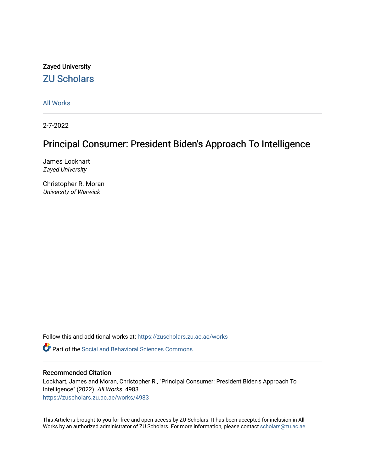## Zayed University [ZU Scholars](https://zuscholars.zu.ac.ae/)

[All Works](https://zuscholars.zu.ac.ae/works)

2-7-2022

## Principal Consumer: President Biden's Approach To Intelligence

James Lockhart Zayed University

Christopher R. Moran University of Warwick

Follow this and additional works at: [https://zuscholars.zu.ac.ae/works](https://zuscholars.zu.ac.ae/works?utm_source=zuscholars.zu.ac.ae%2Fworks%2F4983&utm_medium=PDF&utm_campaign=PDFCoverPages)

**C** Part of the Social and Behavioral Sciences Commons

## Recommended Citation

Lockhart, James and Moran, Christopher R., "Principal Consumer: President Biden's Approach To Intelligence" (2022). All Works. 4983. [https://zuscholars.zu.ac.ae/works/4983](https://zuscholars.zu.ac.ae/works/4983?utm_source=zuscholars.zu.ac.ae%2Fworks%2F4983&utm_medium=PDF&utm_campaign=PDFCoverPages)

This Article is brought to you for free and open access by ZU Scholars. It has been accepted for inclusion in All Works by an authorized administrator of ZU Scholars. For more information, please contact [scholars@zu.ac.ae](mailto:scholars@zu.ac.ae).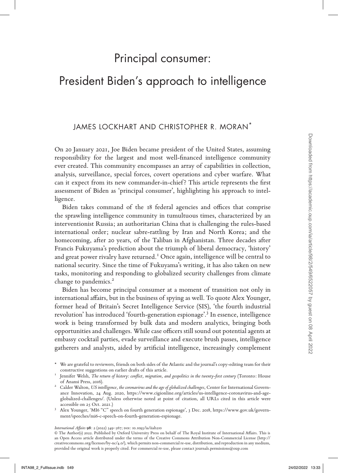# Principal consumer:

# President Biden's approach to intelligence

## JAMES LOCKHART AND CHRISTOPHER R. MORAN\*

On 20 January 2021, Joe Biden became president of the United States, assuming responsibility for the largest and most well-financed intelligence community ever created. This community encompasses an array of capabilities in collection, analysis, surveillance, special forces, covert operations and cyber warfare. What can it expect from its new commander-in-chief? This article represents the first assessment of Biden as 'principal consumer', highlighting his approach to intelligence.

Biden takes command of the 18 federal agencies and offices that comprise the sprawling intelligence community in tumultuous times, characterized by an interventionist Russia; an authoritarian China that is challenging the rules-based international order; nuclear sabre-rattling by Iran and North Korea; and the homecoming, after 20 years, of the Taliban in Afghanistan. Three decades after Francis Fukuyama's prediction about the triumph of liberal democracy, 'history' and great power rivalry have returned.<sup>I</sup> Once again, intelligence will be central to national security. Since the time of Fukuyama's writing, it has also taken on new tasks, monitoring and responding to globalized security challenges from climate change to pandemics.<sup>2</sup> On 20 Jawaxy 2021, Joe Bislen hexams perisients of the United Store, assuming recept center of the linear content<br>method in the signed and the signed and the signed in the signed in the<br>specifical content of the signed in

Biden has become principal consumer at a moment of transition not only in international affairs, but in the business of spying as well. To quote Alex Younger, former head of Britain's Secret Intelligence Service (SIS), 'the fourth industrial revolution' has introduced 'fourth-generation espionage'.3 In essence, intelligence work is being transformed by bulk data and modern analytics, bringing both opportunities and challenges. While case officers still sound out potential agents at embassy cocktail parties, evade surveillance and execute brush passes, intelligence gatherers and analysts, aided by artificial intelligence, increasingly complement

- \* We are grateful to reviewers, friends on both sides of the Atlantic and the journal's copy-editing team for their
- constructive suggestions on earlier drafts of this article. <sup>1</sup> Jennifer Welsh, *The return of history: conflict, migration, and geopolitics in the twenty-first century* (Toronto: House of Anansi Press, 2016). <sup>2</sup> Calder Walton, *US intelligence, the coronavirus and the age of globalized challenges*, Center for International Govern-
- ance Innovation, 24 Aug. 2020, https://www.cigionline.org/articles/us-intelligence-coronavirus-and-ageglobalized-challenges/. (Unless otherwise noted at point of citation, all URLs cited in this article were accessible on 25 Oct. 2021.)<br>3 Alex Younger, 'MI6 "C" speech on fourth generation espionage', 3 Dec. 2018, https://www.gov.uk/govern-
- ment/speeches/mi6-c-speech-on-fourth-generation-espionage.

*International Affairs* **98**: 2 (2022) 549–567; doi: 10.1093/ia/iiab210

© The Author(s) 2022. Published by Oxford University Press on behalf of The Royal Institute of International Affairs. This is an Open Access article distributed under the terms of the Creative Commons Attribution Non-Commercial License (http:// creativecommons.org/licenses/by-nc/4.0/), which permits non-commercial re-use, distribution, and reproduction in any medium, provided the original work is properly cited. For commercial re-use, please contact journals.permissions@oup.com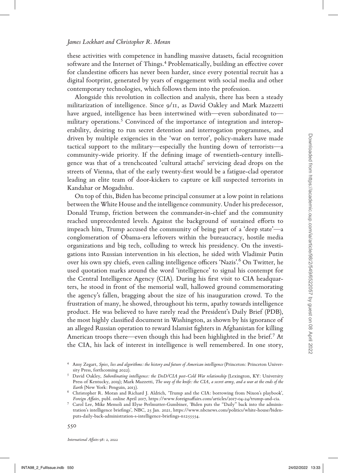these activities with competence in handling massive datasets, facial recognition software and the Internet of Things.<sup>4</sup> Problematically, building an effective cover for clandestine officers has never been harder, since every potential recruit has a digital footprint, generated by years of engagement with social media and other contemporary technologies, which follows them into the profession.

Alongside this revolution in collection and analysis, there has been a steady militarization of intelligence. Since 9/11, as David Oakley and Mark Mazzetti have argued, intelligence has been intertwined with—even subordinated to military operations.<sup>5</sup> Convinced of the importance of integration and interoperability, desiring to run secret detention and interrogation programmes, and driven by multiple exigencies in the 'war on terror', policy-makers have made tactical support to the military—especially the hunting down of terrorists—a community-wide priority. If the defining image of twentieth-century intelligence was that of a trenchcoated 'cultural attaché' servicing dead drops on the streets of Vienna, that of the early twenty-first would be a fatigue-clad operator leading an elite team of door-kickers to capture or kill suspected terrorists in Kandahar or Mogadishu.

On top of this, Biden has become principal consumer at a low point in relations between the White House and the intelligence community. Under his predecessor, Donald Trump, friction between the commander-in-chief and the community reached unprecedented levels. Against the background of sustained efforts to impeach him, Trump accused the community of being part of a 'deep state'—a conglomeration of Obama-era leftovers within the bureaucracy, hostile media organizations and big tech, colluding to wreck his presidency. On the investigations into Russian intervention in his election, he sided with Vladimir Putin over his own spy chiefs, even calling intelligence officers 'Nazis'.<sup>6</sup> On Twitter, he used quotation marks around the word 'intelligence' to signal his contempt for the Central Intelligence Agency (CIA). During his first visit to CIA headquarters, he stood in front of the memorial wall, hallowed ground commemorating the agency's fallen, bragging about the size of his inauguration crowd. To the frustration of many, he showed, throughout his term, apathy towards intelligence product. He was believed to have rarely read the President's Daily Brief (PDB), the most highly classified document in Washington, as shown by his ignorance of an alleged Russian operation to reward Islamist fighters in Afghanistan for killing American troops there—even though this had been highlighted in the brief.<sup>7</sup> At the CIA, his lack of interest in intelligence is well remembered. In one story, driven by multiple existence in the "war to treet", policy-makers have model from the mean of the strength of points. If the defining image of reweristin-examply medi-<br>genere was that of a trenchented from hereaft servici

<sup>4</sup> Amy Zegart, *Spies, lies and algorithms: the history and future of American intelligence* (Princeton: Princeton Univer-

sity Press, forthcoming 2022). <sup>5</sup> David Oakley, *Subordinating intelligence: the DoD/CIA post-Cold War relationship* (Lexington, KY: University Press of Kentucky, 2019); Mark Mazzetti, *The way of the knife: the CIA, a secret army, and a war at the ends of the Earth* (New York: Penguin, 2013). <sup>6</sup> Christopher R. Moran and Richard J. Aldrich, 'Trump and the CIA: borrowing from Nixon's playbook',

*Foreign Affairs*, publ. online April 2017, https://www.foreignaffairs.com/articles/2017-04-24/trump-and-cia. <sup>7</sup> Carol Lee, Mike Memoli and Elyse Perlmutter-Gumbiner, 'Biden puts the "Daily" back into the adminis-

tration's intelligence briefings', NBC, 25 Jan. 2021, https://www.nbcnews.com/politics/white-house/bidenputs-daily-back-administration-s-intelligence-briefings-n1255554.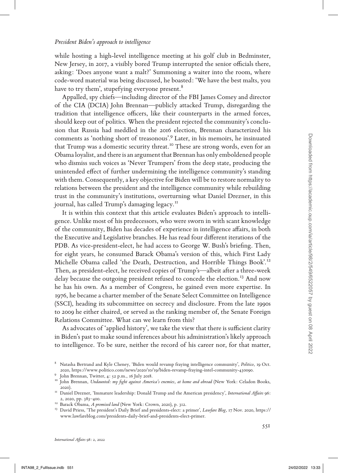#### *President Biden's approach to intelligence*

while hosting a high-level intelligence meeting at his golf club in Bedminster, New Jersey, in 2017, a visibly bored Trump interrupted the senior officials there, asking: 'Does anyone want a malt?' Summoning a waiter into the room, where code-word material was being discussed, he boasted: 'We have the best malts, you have to try them', stupefying everyone present.<sup>8</sup>

Appalled, spy chiefs—including director of the FBI James Comey and director of the CIA (DCIA) John Brennan—publicly attacked Trump, disregarding the tradition that intelligence officers, like their counterparts in the armed forces, should keep out of politics. When the president rejected the community's conclusion that Russia had meddled in the 2016 election, Brennan characterized his comments as 'nothing short of treasonous'.<sup>9</sup> Later, in his memoirs, he insinuated that Trump was a domestic security threat.<sup>10</sup> These are strong words, even for an Obama loyalist, and there is an argument that Brennan has only emboldened people who dismiss such voices as 'Never Trumpers' from the deep state, producing the unintended effect of further undermining the intelligence community's standing with them. Consequently, a key objective for Biden will be to restore normality to relations between the president and the intelligence community while rebuilding trust in the community's institutions, overturning what Daniel Drezner, in this journal, has called Trump's damaging legacy.<sup>11</sup>

It is within this context that this article evaluates Biden's approach to intelligence. Unlike most of his predecessors, who were sworn in with scant knowledge of the community, Biden has decades of experience in intelligence affairs, in both the Executive and Legislative branches. He has read four different iterations of the PDB. As vice-president-elect, he had access to George W. Bush's briefing. Then, for eight years, he consumed Barack Obama's version of this, which First Lady Michelle Obama called 'the Death, Destruction, and Horrible Things Book'.12 Then, as president-elect, he received copies of Trump's—albeit after a three-week delay because the outgoing president refused to concede the election.<sup>13</sup> And now he has his own. As a member of Congress, he gained even more expertise. In 1976, he became a charter member of the Senate Select Committee on Intelligence (SSCI), heading its subcommittee on secrecy and disclosure. From the late 1990s to 2009 he either chaired, or served as the ranking member of, the Senate Foreign Relations Committee. What can we learn from this? comments as 'nothing abort of treesconors'? Lets; in this means the hydrodesis people of both lopinis, and there is an argument that Benuan has only emboldend people with distinguistic activity the derivation of the simul

As advocates of 'applied history', we take the view that there is sufficient clarity in Biden's past to make sound inferences about his administration's likely approach to intelligence. To be sure, neither the record of his career nor, for that matter,

<sup>8</sup> Natasha Bertrand and Kyle Cheney, 'Biden would revamp fraying intelligence community', *Politico*, 19 Oct. 2020, https://www.politico.com/news/2020/10/19/biden-revamp-fraying-intel-community-430090.<br><sup>9</sup> John Brennan, Twitter, 4: 52 p.m., 16 July 2018.<br><sup>10</sup> John Brennan, *Undaunted: my fight against America's enemies, at home a* 

<sup>2020).</sup> <sup>11</sup> Daniel Drezner, 'Immature leadership: Donald Trump and the American presidency', *International Affairs* 96:

<sup>2, 2020,</sup> pp. 383–400. <sup>12</sup> Barack Obama, *A promised land* (New York: Crown, 2020), p. 312. <sup>13</sup> David Priess, 'The president's Daily Brief and presidents-elect: a primer', *Lawfare Blog*, 17 Nov. 2020, https://

www.lawfareblog.com/presidents-daily-brief-and-presidents-elect-primer.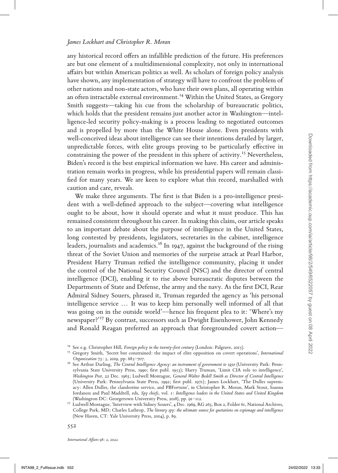any historical record offers an infallible prediction of the future. His preferences are but one element of a multidimensional complexity, not only in international affairs but within American politics as well. As scholars of foreign policy analysis have shown, any implementation of strategy will have to confront the problem of other nations and non-state actors, who have their own plans, all operating within an often intractable external environment.<sup>14</sup> Within the United States, as Gregory Smith suggests—taking his cue from the scholarship of bureaucratic politics, which holds that the president remains just another actor in Washington—intelligence-led security policy-making is a process leading to negotiated outcomes and is propelled by more than the White House alone. Even presidents with well-conceived ideas about intelligence can see their intentions derailed by larger, unpredictable forces, with elite groups proving to be particularly effective in constraining the power of the president in this sphere of activity.<sup>15</sup> Nevertheless, Biden's record is the best empirical information we have. His career and administration remain works in progress, while his presidential papers will remain classified for many years. We are keen to explore what this record, marshalled with caution and care, reveals.

We make three arguments. The first is that Biden is a pro-intelligence president with a well-defined approach to the subject—covering what intelligence ought to be about, how it should operate and what it must produce. This has remained consistent throughout his career. In making this claim, our article speaks to an important debate about the purpose of intelligence in the United States, long contested by presidents, legislators, secretaries in the cabinet, intelligence leaders, journalists and academics.16 In 1947, against the background of the rising threat of the Soviet Union and memories of the surprise attack at Pearl Harbor, President Harry Truman reified the intelligence community, placing it under the control of the National Security Council (NSC) and the director of central intelligence (DCI), enabling it to rise above bureaucratic disputes between the Departments of State and Defense, the army and the navy. As the first DCI, Rear Admiral Sidney Souers, phrased it, Truman regarded the agency as 'his personal intelligence service ... It was to keep him personally well informed of all that was going on in the outside world'—hence his frequent plea to it: 'Where's my newspaper?'<sup>17</sup> By contrast, successors such as Dwight Eisenhower, John Kennedy and Ronald Reagan preferred an approach that foregrounded covert action well-concerted ideas about intelligence can core check interactions derived into the measurable plane power of the pressue of the pressue of the properties of the state measurable plane power of the pressue of the propert

<sup>&</sup>lt;sup>14</sup> See e.g. Christopher Hill, *Foreign policy in the twenty-first century* (London: Palgrave, 2015).<br><sup>15</sup> Gregory Smith, 'Secret but constrained: the impact of elite opposition on covert operations', *International* 

*Organization* 73: 3, 2019, pp. 685–707. 16 See Arthur Darling, *The Central Intelligence Agency: an instrument of government to 1950* (University Park: Pennsylvania State University Press, 1990; first publ. 1953); Harry Truman, 'Limit CIA role to intelligence', *Washington Post*, 22 Dec. 1963; Ludwell Montague, *General Walter Bedell Smith as Director of Central Intelligence* (University Park: Pennsylvania State Press, 1992; first publ. 1971); James Lockhart, 'The Dulles supremacy: Allen Dulles, the clandestine service, and PBFortune', in Christopher R. Moran, Mark Stout, Ioanna Iordanou and Paul Maddrell, eds, *Spy chiefs*, vol. 1: *Intelligence leaders in the United States and United Kingdom*

<sup>&</sup>lt;sup>17</sup> Ludwell Montague, 'Interview with Sidney Souers', 4 Dec. 1969, RG 263, Box 2, Folder 61, National Archives, College Park, MD; Charles Lathrop, *The literary spy: the ultimate source for quotations on espionage and intelligence*  (New Haven, CT: Yale University Press, 2004), p. 89.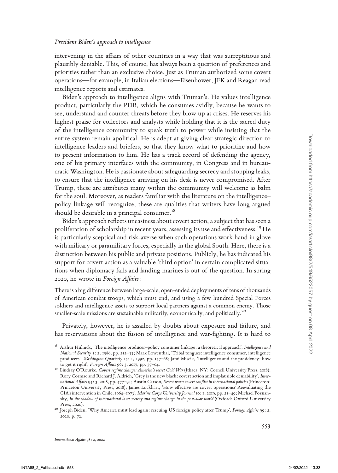### *President Biden's approach to intelligence*

intervening in the affairs of other countries in a way that was surreptitious and plausibly deniable. This, of course, has always been a question of preferences and priorities rather than an exclusive choice. Just as Truman authorized some covert operations—for example, in Italian elections—Eisenhower, JFK and Reagan read intelligence reports and estimates.

Biden's approach to intelligence aligns with Truman's. He values intelligence product, particularly the PDB, which he consumes avidly, because he wants to see, understand and counter threats before they blow up as crises. He reserves his highest praise for collectors and analysts while holding that it is the sacred duty of the intelligence community to speak truth to power while insisting that the entire system remain apolitical. He is adept at giving clear strategic direction to intelligence leaders and briefers, so that they know what to prioritize and how to present information to him. He has a track record of defending the agency, one of his primary interfaces with the community, in Congress and in bureaucratic Washington. He is passionate about safeguarding secrecy and stopping leaks, to ensure that the intelligence arriving on his desk is never compromised. After Trump, these are attributes many within the community will welcome as balm for the soul. Moreover, as readers familiar with the literature on the intelligence– policy linkage will recognize, these are qualities that writers have long argued should be desirable in a principal consumer.<sup>18</sup> entire system remains a political . It is a steak text principal celestration to bin the state from html. It is a track record of defending the agency, or one of the primary interfaces with the community, in Compress and

Biden's approach reflects uneasiness about covert action, a subject that has seen a proliferation of scholarship in recent years, assessing its use and effectiveness.<sup>19</sup> He is particularly sceptical and risk-averse when such operations work hand in glove with military or paramilitary forces, especially in the global South. Here, there is a distinction between his public and private positions. Publicly, he has indicated his support for covert action as a valuable 'third option' in certain complicated situations when diplomacy fails and landing marines is out of the question. In spring 2020, he wrote in *Foreign Affairs*:

There is a big difference between large-scale, open-ended deployments of tens of thousands of American combat troops, which must end, and using a few hundred Special Forces soldiers and intelligence assets to support local partners against a common enemy. Those smaller-scale missions are sustainable militarily, economically, and politically.<sup>20</sup>

Privately, however, he is assailed by doubts about exposure and failure, and has reservations about the fusion of intelligence and war-fighting. It is hard to

<sup>18</sup> Arthur Hulnick, 'The intelligence producer–policy consumer linkage: a theoretical approach', *Intelligence and National Security* 1: 2, 1986, pp. 212–33; Mark Lowenthal, 'Tribal tongues: intelligence consumer, intelligence producers', *Washington Quarterly* 15: 1, 1992, pp. 157–68; Jami Miscik, 'Intelligence and the presidency: how to get it right', *Foreign Affairs* 96: 3, 2017, pp. 57–64. <sup>19</sup> Lindsay O'Rourke, *Covert regime change: America's secret Cold War* (Ithaca, NY: Cornell University Press, 2018);

Rory Cormac and Richard J. Aldrich, 'Grey is the new black: covert action and implausible deniability', *International Affairs* 94: 3, 2018, pp. 477–94; Austin Carson, *Secret wars: covert conflict in international politics* (Princeton: Princeton University Press, 2018); James Lockhart, 'How effective are covert operations? Reevaluating the CIA's intervention in Chile, 1964–1973', *Marine Corps University Journal* 10: 1, 2019, pp. 21–49; Michael Poznansky, *In the shadow of international law: secrecy and regime change in the post-war world* (Oxford: Oxford University Press, 2020). <sup>20</sup> Joseph Biden, 'Why America must lead again: rescuing US foreign policy after Trump', *Foreign Affairs* 99: 2,

<sup>2020,</sup> p. 72.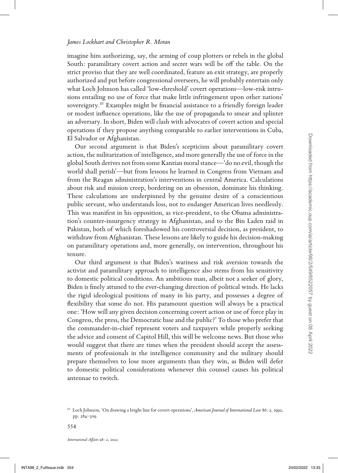imagine him authorizing, say, the arming of coup plotters or rebels in the global South: paramilitary covert action and secret wars will be off the table. On the strict proviso that they are well coordinated, feature an exit strategy, are properly authorized and put before congressional overseers, he will probably entertain only what Loch Johnson has called 'low-threshold' covert operations—low-risk intrusions entailing no use of force that make little infringement upon other nations' sovereignty.<sup>21</sup> Examples might be financial assistance to a friendly foreign leader or modest influence operations, like the use of propaganda to smear and splinter an adversary. In short, Biden will clash with advocates of covert action and special operations if they propose anything comparable to earlier interventions in Cuba, El Salvador or Afghanistan.

Our second argument is that Biden's scepticism about paramilitary covert action, the militarization of intelligence, and more generally the use of force in the global South derives not from some Kantian moral stance—'do no evil, though the world shall perish'—but from lessons he learned in Congress from Vietnam and from the Reagan administration's interventions in central America. Calculations about risk and mission creep, bordering on an obsession, dominate his thinking. These calculations are underpinned by the genuine desire of a conscientious public servant, who understands loss, not to endanger American lives needlessly. This was manifest in his opposition, as vice-president, to the Obama administration's counter-insurgency strategy in Afghanistan, and to the Bin Laden raid in Pakistan, both of which foreshadowed his controversial decision, as president, to withdraw from Afghanistan. These lessons are likely to guide his decision-making on paramilitary operations and, more generally, on intervention, throughout his tenure.

Our third argument is that Biden's wariness and risk aversion towards the activist and paramilitary approach to intelligence also stems from his sensitivity to domestic political conditions. An ambitious man, albeit not a seeker of glory, Biden is finely attuned to the ever-changing direction of political winds. He lacks the rigid ideological positions of many in his party, and possesses a degree of flexibility that some do not. His paramount question will always be a practical one: 'How will any given decision concerning covert action or use of force play in Congress, the press, the Democratic base and the public?' To those who prefer that the commander-in-chief represent voters and taxpayers while properly seeking the advice and consent of Capitol Hill, this will be welcome news. But those who would suggest that there are times when the president should accept the assessments of professionals in the intelligence community and the military should prepare themselves to lose more arguments than they win, as Biden will defer to domestic political considerations whenever this counsel causes his political antennae to twitch. IS Salvedor of Rightstaten.<br>
Our second argument is that Biden's sceptican about paramilitary covert<br>
arefore, the multitaration of intelligence, and more generally the use of forces in<br>
goldsal South derives on from sume

<sup>21</sup> Loch Johnson, 'On drawing a bright line for covert operations', *American Journal of International Law* 86: 2, 1992, pp. 284–309.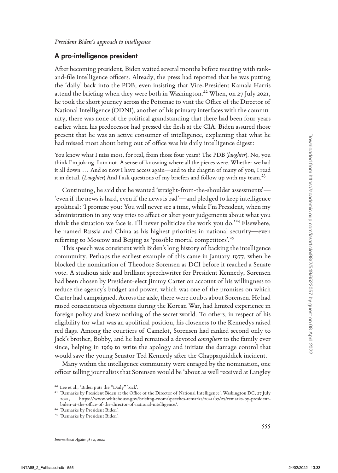## A pro-intelligence president

After becoming president, Biden waited several months before meeting with rankand-file intelligence officers. Already, the press had reported that he was putting the 'daily' back into the PDB, even insisting that Vice-President Kamala Harris attend the briefing when they were both in Washington.22 When, on 27 July 2021, he took the short journey across the Potomac to visit the Office of the Director of National Intelligence (ODNI), another of his primary interfaces with the community, there was none of the political grandstanding that there had been four years earlier when his predecessor had pressed the flesh at the CIA. Biden assured those present that he was an active consumer of intelligence, explaining that what he had missed most about being out of office was his daily intelligence digest:

You know what I miss most, for real, from those four years? The PDB (*laughter*). No, you think I'm joking. I am not. A sense of knowing where all the pieces were. Whether we had it all down ... And so now I have access again—and to the chagrin of many of you, I read it in detail. (*Laughter*) And I ask questions of my briefers and follow up with my team.<sup>23</sup>

Continuing, he said that he wanted 'straight-from-the-shoulder assessments'— 'even if the news is hard, even if the news is bad'—and pledged to keep intelligence apolitical: 'I promise you: You will never see a time, while I'm President, when my administration in any way tries to affect or alter your judgements about what you think the situation we face is. I'll never politicize the work you do.'24 Elsewhere, he named Russia and China as his highest priorities in national security—even referring to Moscow and Beijing as 'possible mortal competitors'.25

This speech was consistent with Biden's long history of backing the intelligence community. Perhaps the earliest example of this came in January 1977, when he blocked the nomination of Theodore Sorensen as DCI before it reached a Senate vote. A studious aide and brilliant speechwriter for President Kennedy, Sorensen had been chosen by President-elect Jimmy Carter on account of his willingness to reduce the agency's budget and power, which was one of the promises on which Carter had campaigned. Across the aisle, there were doubts about Sorensen. He had raised conscientious objections during the Korean War, had limited experience in foreign policy and knew nothing of the secret world. To others, in respect of his eligibility for what was an apolitical position, his closeness to the Kennedys raised red flags. Among the courtiers of Camelot, Sorensen had ranked second only to Jack's brother, Bobby, and he had remained a devoted *consigliere* to the family ever since, helping in 1969 to write the apology and initiate the damage control that would save the young Senator Ted Kennedy after the Chappaquiddick incident. INTERNET THIS INTERNET CONTINUES TO THE INTERNET C POSITION (FOR THE ASSOCIATE A CONTINUES TO YOU THAT IN A STAR (FOR THE ASSOCIATE THE ASSOCIATE THE ASSOCIATE THE ASSOCIATE THE ASSOCIATE THE ASSOCIATE THE ASSOCIATE THE

Many within the intelligence community were enraged by the nomination, one officer telling journalists that Sorensen would be 'about as well received at Langley

<sup>&</sup>lt;sup>22</sup> Lee et al., 'Biden puts the "Daily" back'.<br><sup>23</sup> 'Remarks by President Biden at the Office of the Director of National Intelligence', Washington DC, 27 July 2021, https://www.whitehouse.gov/briefing-room/speeches-remarks/2021/07/27/remarks-by-presidentbiden-at-the-office-of-the-director-of-national-intelligence/. <sup>24</sup> 'Remarks by President Biden'. <sup>25</sup> 'Remarks by President Biden'.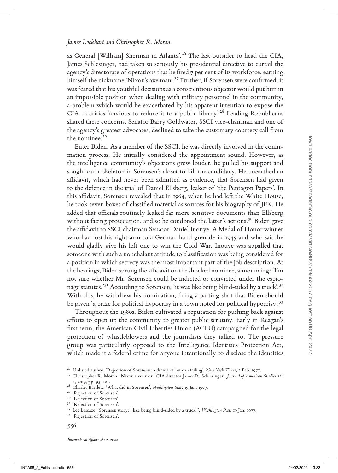as General [William] Sherman in Atlanta'.26 The last outsider to head the CIA, James Schlesinger, had taken so seriously his presidential directive to curtail the agency's directorate of operations that he fired 7 per cent of its workforce, earning himself the nickname 'Nixon's axe man'.<sup>27</sup> Further, if Sorensen were confirmed, it was feared that his youthful decisions as a conscientious objector would put him in an impossible position when dealing with military personnel in the community, a problem which would be exacerbated by his apparent intention to expose the CIA to critics 'anxious to reduce it to a public library'.28 Leading Republicans shared these concerns. Senator Barry Goldwater, SSCI vice-chairman and one of the agency's greatest advocates, declined to take the customary courtesy call from the nominee.<sup>29</sup>

Enter Biden. As a member of the SSCI, he was directly involved in the confirmation process. He initially considered the appointment sound. However, as the intelligence community's objections grew louder, he pulled his support and sought out a skeleton in Sorensen's closet to kill the candidacy. He unearthed an affidavit, which had never been admitted as evidence, that Sorensen had given to the defence in the trial of Daniel Ellsberg, leaker of 'the Pentagon Papers'. In this affidavit, Sorensen revealed that in 1964, when he had left the White House, he took seven boxes of classified material as sources for his biography of JFK. He added that officials routinely leaked far more sensitive documents than Ellsberg without facing prosecution, and so he condoned the latter's actions.<sup>30</sup> Biden gave the affidavit to SSCI chairman Senator Daniel Inouye. A Medal of Honor winner who had lost his right arm to a German hand grenade in 1945 and who said he would gladly give his left one to win the Cold War, Inouye was appalled that someone with such a nonchalant attitude to classification was being considered for a position in which secrecy was the most important part of the job description. At the hearings, Biden sprung the affidavit on the shocked nominee, announcing: 'I'm not sure whether Mr. Sorensen could be indicted or convicted under the espionage statutes.'31 According to Sorensen, 'it was like being blind-sided by a truck'.32 With this, he withdrew his nomination, firing a parting shot that Biden should be given 'a prize for political hypocrisy in a town noted for political hypocrisy'.<sup>33</sup> the noniner.<sup>25</sup><br>
In the intelligence community's ortigiented the appointment cound. However, as<br>
the intelligence community's ortigiented from a product properties the<br>simulated from the specifical intervalon in Sovetech

Throughout the 1980s, Biden cultivated a reputation for pushing back against efforts to open up the community to greater public scrutiny. Early in Reagan's first term, the American Civil Liberties Union (ACLU) campaigned for the legal protection of whistleblowers and the journalists they talked to. The pressure group was particularly opposed to the Intelligence Identities Protection Act, which made it a federal crime for anyone intentionally to disclose the identities

<sup>&</sup>lt;sup>26</sup> Unlisted author, 'Rejection of Sorensen: a drama of human failing', *New York Times*, 2 Feb. 1977.<br><sup>27</sup> Christopher R. Moran, 'Nixon's axe man: CIA director James R. Schlesinger', *Journal of American Studies* 53:

<sup>1, 2019,</sup> pp. 95–121.<br>
<sup>28</sup> Charles Bartlett, 'What did in Sorensen', *Washington Star*, 19 Jan. 1977.<br>
<sup>29</sup> 'Rejection of Sorensen'.<br>
<sup>31</sup> 'Rejection of Sorensen'.<br>
<sup>31</sup> 'Rejection of Sorensen'.<br>
<sup>32</sup> Lee Lescaze, 'Sorens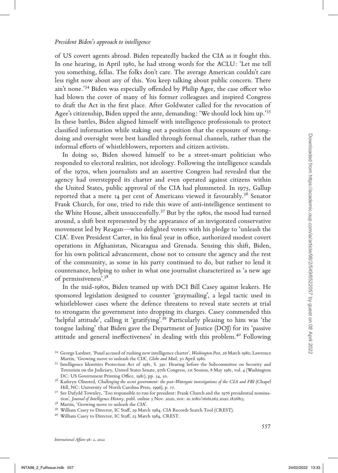of US covert agents abroad. Biden repeatedly backed the CIA as it fought this. In one hearing, in April 1980, he had strong words for the ACLU: 'Let me tell you something, fellas. The folks don't care. The average American couldn't care less right now about any of this. You keep talking about public concern. There ain't none.'34 Biden was especially offended by Philip Agee, the case officer who had blown the cover of many of his former colleagues and inspired Congress to draft the Act in the first place. After Goldwater called for the revocation of Agee's citizenship, Biden upped the ante, demanding: 'We should lock him up.'35 In these battles, Biden aligned himself with intelligence professionals to protect classified information while staking out a position that the exposure of wrongdoing and oversight were best handled through formal channels, rather than the informal efforts of whistleblowers, reporters and citizen activists.

In doing so, Biden showed himself to be a street-smart politician who responded to electoral realities, not ideology. Following the intelligence scandals of the 1970s, when journalists and an assertive Congress had revealed that the agency had overstepped its charter and even operated against citizens within the United States, public approval of the CIA had plummeted. In 1975, Gallup reported that a mere 14 per cent of Americans viewed it favourably.<sup>36</sup> Senator Frank Church, for one, tried to ride this wave of anti-intelligence sentiment to the White House, albeit unsuccessfully.37 But by the 1980s, the mood had turned around, a shift best represented by the appearance of an invigorated conservative movement led by Reagan—who delighted voters with his pledge to 'unleash the CIA'. Even President Carter, in his final year in office, authorized modest covert operations in Afghanistan, Nicaragua and Grenada. Sensing this shift, Biden, for his own political advancement, chose not to censure the agency and the rest of the community, as some in his party continued to do, but rather to lend it countenance, helping to usher in what one journalist characterized as 'a new age of permissiveness'.<sup>38</sup> doing and overally twee best handled through formula channels, rather than the basis of the basis of the basis of the basis of the state tunnel plutician who responded to electrocar latticely to be a street-smalle of the

In the mid-1980s, Biden teamed up with DCI Bill Casey against leakers. He sponsored legislation designed to counter 'graymailing', a legal tactic used in whistleblower cases where the defence threatens to reveal state secrets at trial to strongarm the government into dropping its charges. Casey commended this 'helpful attitude', calling it 'gratifying'.39 Particularly pleasing to him was 'the tongue lashing' that Biden gave the Department of Justice (DOJ) for its 'passive attitude and general ineffectiveness' in dealing with this problem.<sup>40</sup> Following

<sup>34</sup> George Lardner, 'Panel accused of rushing new intelligence charter', *Washington Post*, 26 March 1980; Lawrence

Martin, 'Growing move to unleash the CIA', *Globe and Mail*, 30 April 1980. <sup>35</sup> Intelligence Identities Protection Act of 1981, S. 391: Hearing before the Subcommittee on Security and Terrorism on the Judiciary, United States Senate, 97th Congress, 1st Session, 8 May 1981, vol. 4 (Washington

<sup>&</sup>lt;sup>36</sup> Kathryn Olmsted, *Challenging the secret government: the post-Watergate investigations of the CIA and FBI* (Chapel Hill, NC: University of North Carolina Press, 1996), p. 17.<br><sup>37</sup> See Dafydd Townley, 'Too responsible to run for president: Frank Church and the 1976 presidential nomina-

tion', *Journal of Intelligence History*, publ. online 5 Nov. 2020, DOI: 10.1080/16161262.2020.1826813.<br><sup>38</sup> Martin, 'Growing move to unleash the CIA'.<br><sup>39</sup> William Casey to Director, IC Staff, 29 March 1984, CIA Records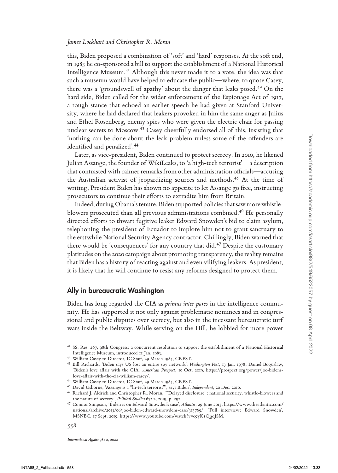this, Biden proposed a combination of 'soft' and 'hard' responses. At the soft end, in 1983 he co-sponsored a bill to support the establishment of a National Historical Intelligence Museum.41 Although this never made it to a vote, the idea was that such a museum would have helped to educate the public—where, to quote Casey, there was a 'groundswell of apathy' about the danger that leaks posed.<sup>42</sup> On the hard side, Biden called for the wider enforcement of the Espionage Act of 1917, a tough stance that echoed an earlier speech he had given at Stanford University, where he had declared that leakers provoked in him the same anger as Julius and Ethel Rosenberg, enemy spies who were given the electric chair for passing nuclear secrets to Moscow.<sup>43</sup> Casey cheerfully endorsed all of this, insisting that 'nothing can be done about the leak problem unless some of the offenders are identified and penalized'.44

Later, as vice-president, Biden continued to protect secrecy. In 2010, he likened Julian Assange, the founder of WikiLeaks, to 'a high-tech terrorist'—a description that contrasted with calmer remarks from other administration officials—accusing the Australian activist of jeopardizing sources and methods.<sup>45</sup> At the time of writing, President Biden has shown no appetite to let Assange go free, instructing prosecutors to continue their efforts to extradite him from Britain.

Indeed, during Obama's tenure, Biden supported policies that saw more whistleblowers prosecuted than all previous administrations combined.46 He personally directed efforts to thwart fugitive leaker Edward Snowden's bid to claim asylum, telephoning the president of Ecuador to implore him not to grant sanctuary to the erstwhile National Security Agency contractor. Chillingly, Biden warned that there would be 'consequences' for any country that did.<sup>47</sup> Despite the customary platitudes on the 2020 campaign about promoting transparency, the reality remains that Biden has a history of reacting against and even vilifying leakers. As president, it is likely that he will continue to resist any reforms designed to protect them. In the leads problem unless some of the offerders are<br>
Latentia of an equalized,<sup>144</sup> Latent contration of proposite receiver, in 2000, he like<br>media of the simulation in the contrast of the internet of the contrast of th

## Ally in bureaucratic Washington

Biden has long regarded the CIA as *primus inter pares* in the intelligence community. He has supported it not only against problematic nominees and in congressional and public disputes over secrecy, but also in the incessant bureaucratic turf wars inside the Beltway. While serving on the Hill, he lobbied for more power

'Biden's love affair with the CIA', *American Prospect*, 10 Oct. 2019, https://prospect.org/power/joe-bidenslove-affair-with-the-cia-william-casey/.<br><sup>44</sup> William Casey to Director, IC Staff, 29 March 1984, CREST.<br><sup>45</sup> David Usborne, 'Assange is a "hi-tech terrorist"', says Biden', *Independent*, 20 Dec. 2010.<br><sup>46</sup> Richard J. Ald

<sup>41</sup> SS. Res. 267, 98th Congress: a concurrent resolution to support the establishment of a National Historical Intelligence Museum, introduced 11 Jan. 1983. <sup>42</sup> William Casey to Director, IC Staff, 29 March 1984, CREST. <sup>43</sup> Bill Richards, 'Biden says US lost an entire spy network', *Washington Post*, 13 Jan. 1978; Daniel Boguslaw,

the nature of secrecy', *Political Studies* 67: 2, 2019, p. 292. <sup>47</sup> Connor Simpson, 'Biden is on Edward Snowden's case', *Atlantic*, 29 June 2013, https://www.theatlantic.com/

national/archive/2013/06/joe-biden-edward-snowdens-case/313769/; 'Full interview: Edward Snowden', MSNBC, 17 Sept. 2019, https://www.youtube.com/watch?v=e9yK1QndJSM.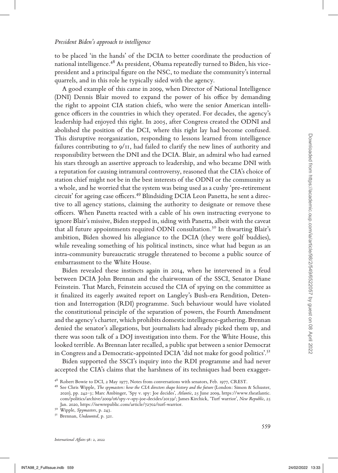to be placed 'in the hands' of the DCIA to better coordinate the production of national intelligence.<sup>48</sup> As president, Obama repeatedly turned to Biden, his vicepresident and a principal figure on the NSC, to mediate the community's internal quarrels, and in this role he typically sided with the agency.

A good example of this came in 2009, when Director of National Intelligence (DNI) Dennis Blair moved to expand the power of his office by demanding the right to appoint CIA station chiefs, who were the senior American intelligence officers in the countries in which they operated. For decades, the agency's leadership had enjoyed this right. In 2005, after Congress created the ODNI and abolished the position of the DCI, where this right lay had become confused. This disruptive reorganization, responding to lessons learned from intelligence failures contributing to  $9/11$ , had failed to clarify the new lines of authority and responsibility between the DNI and the DCIA. Blair, an admiral who had earned his stars through an assertive approach to leadership, and who became DNI with a reputation for causing intramural controversy, reasoned that the CIA's choice of station chief might not be in the best interests of the ODNI or the community as a whole, and he worried that the system was being used as a cushy 'pre-retirement circuit' for ageing case officers.49 Blindsiding DCIA Leon Panetta, he sent a directive to all agency stations, claiming the authority to designate or remove these officers. When Panetta reacted with a cable of his own instructing everyone to ignore Blair's missive, Biden stepped in, siding with Panetta, albeit with the caveat that all future appointments required ODNI consultation.<sup>50</sup> In thwarting Blair's ambition, Biden showed his allegiance to the DCIA (they were golf buddies), while revealing something of his political instincts, since what had begun as an intra-community bureaucratic struggle threatened to become a public source of embarrassment to the White House. This dimension recognation to the DCIA, Dist, may dimension by the Barriston control in the DCIA and the DCIA and the DCIA control is such as the DNI and the DCIA control is such as the DNI and the DNI and the DNI and the

Biden revealed these instincts again in 2014, when he intervened in a feud between DCIA John Brennan and the chairwoman of the SSCI, Senator Diane Feinstein. That March, Feinstein accused the CIA of spying on the committee as it finalized its eagerly awaited report on Langley's Bush-era Rendition, Detention and Interrogation (RDI) programme. Such behaviour would have violated the constitutional principle of the separation of powers, the Fourth Amendment and the agency's charter, which prohibits domestic intelligence-gathering. Brennan denied the senator's allegations, but journalists had already picked them up, and there was soon talk of a DOJ investigation into them. For the White House, this looked terrible. As Brennan later recalled, a public spat between a senior Democrat in Congress and a Democratic-appointed DCIA 'did not make for good politics'.<sup>51</sup>

Biden supported the SSCI's inquiry into the RDI programme and had never accepted the CIA's claims that the harshness of its techniques had been exagger-

<sup>&</sup>lt;sup>48</sup> Robert Bowie to DCI, 2 May 1977, Notes from conversations with senators, Feb. 1977, CREST.<br><sup>49</sup> See Chris Wipple, *The spymasters: how the CIA directors shape history and the future* (London: Simon & Schuster,

<sup>2020),</sup> pp. 242–3; Marc Ambinger, 'Spy v. spy: Joe decides', *Atlantic*, 25 June 2009, https://www.theatlantic. com/politics/archive/2009/06/spy-v-spy-joe-decides/20159/; James Kirchick, 'Turf warrior', *New Republic*, 25 Jan. 2020, https://newrepublic.com/article/72702/turf-warrior. <sup>50</sup> Wipple, *Spymasters*, p. 243. 51 Brennan, *Undaunted*, p. 321.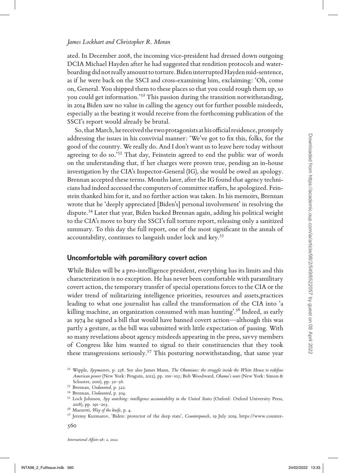ated. In December 2008, the incoming vice-president had dressed down outgoing DCIA Michael Hayden after he had suggested that rendition protocols and waterboarding did not really amount to torture. Biden interrupted Hayden mid-sentence, as if he were back on the SSCI and cross-examining him, exclaiming: 'Oh, come on, General. You shipped them to these places so that you could rough them up, so you could get information.'52 This passion during the transition notwithstanding, in 2014 Biden saw no value in calling the agency out for further possible misdeeds, especially as the beating it would receive from the forthcoming publication of the SSCI's report would already be brutal.

So, that March, he received the two protagonists at his official residence, promptly addressing the issues in his convivial manner: 'We've got to fix this, folks, for the good of the country. We really do. And I don't want us to leave here today without agreeing to do so.'<sup>53</sup> That day, Feinstein agreed to end the public war of words on the understanding that, if her charges were proven true, pending an in-house investigation by the CIA's Inspector-General (IG), she would be owed an apology. Brennan accepted these terms. Months later, after the IG found that agency technicians had indeed accessed the computers of committee staffers, he apologized. Feinstein thanked him for it, and no further action was taken. In his memoirs, Brennan wrote that he 'deeply appreciated [Biden's] personal involvement' in resolving the dispute.54 Later that year, Biden backed Brennan again, adding his political weight to the CIA's move to bury the SSCI's full torture report, releasing only a sanitized summary. To this day the full report, one of the most significant in the annals of accountability, continues to languish under lock and key.<sup>55</sup> addressing the issue in his convivial unnare: "We region to facina, for the signed in the summary of the contrast of the control of the control of the control of the control of the control of the control of the control of

#### Uncomfortable with paramilitary covert action

While Biden will be a pro-intelligence president, everything has its limits and this characterization is no exception. He has never been comfortable with paramilitary covert action, the temporary transfer of special operations forces to the CIA or the wider trend of militarizing intelligence priorities, resources and assets,practices leading to what one journalist has called the transformation of the CIA into 'a killing machine, an organization consumed with man hunting'.<sup>56</sup> Indeed, as early as 1974 he signed a bill that would have banned covert action—although this was partly a gesture, as the bill was submitted with little expectation of passing. With so many revelations about agency misdeeds appearing in the press, savvy members of Congress like him wanted to signal to their constituencies that they took these transgressions seriously.<sup>57</sup> This posturing notwithstanding, that same year

<sup>52</sup> Wipple, *Spymasters*, p. 238. See also James Mann, *The Obamians: the struggle inside the White House to redefine American power* (New York: Penguin, 2012), pp. 100–103; Bob Woodward, *Obama's wars* (New York: Simon & Schuster, 2010), pp. 50–56.<br><sup>53</sup> Brennan, *Undaunted*, p. 322.<br><sup>54</sup> Brennan, *Undaunted*, p. 304.<br><sup>55</sup> Loch Johnson, *Spy watching: intelligence accountability in the United States* (Oxford: Oxford University Press,

<sup>2018),</sup> pp. 191–203. 56 Mazzetti, *Way of the knife*, p. 4. <sup>57</sup> Jeremy Kuzmarov, 'Biden: protector of the deep state', *Counterpunch*, 19 July 2019, https://www.counter-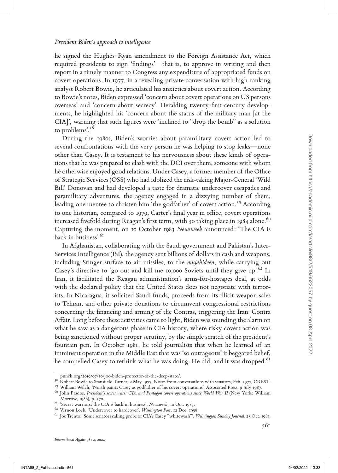he signed the Hughes–Ryan amendment to the Foreign Assistance Act, which required presidents to sign 'findings'—that is, to approve in writing and then report in a timely manner to Congress any expenditure of appropriated funds on covert operations. In 1977, in a revealing private conversation with high-ranking analyst Robert Bowie, he articulated his anxieties about covert action. According to Bowie's notes, Biden expressed 'concern about covert operations on US persons overseas' and 'concern about secrecy'. Heralding twenty-first-century developments, he highlighted his 'concern about the status of the military man [at the CIA]', warning that such figures were 'inclined to "drop the bomb" as a solution to problems'.58

During the 1980s, Biden's worries about paramilitary covert action led to several confrontations with the very person he was helping to stop leaks—none other than Casey. It is testament to his nervousness about these kinds of operations that he was prepared to clash with the DCI over them, someone with whom he otherwise enjoyed good relations. Under Casey, a former member of the Office of Strategic Services (OSS) who had idolized the risk-taking Major-General 'Wild Bill' Donovan and had developed a taste for dramatic undercover escapades and paramilitary adventures, the agency engaged in a dizzying number of them, leading one mentee to christen him 'the godfather' of covert action.<sup>59</sup> According to one historian, compared to 1979, Carter's final year in office, covert operations increased fivefold during Reagan's first term, with 50 taking place in  $1984$  alone.<sup>60</sup> Capturing the moment, on 10 October 1983 *Newsweek* announced: 'The CIA is back in business'.<sup>61</sup>

In Afghanistan, collaborating with the Saudi government and Pakistan's Inter-Services Intelligence (ISI), the agency sent billions of dollars in cash and weapons, including Stinger surface-to-air missiles, to the *mujahideen*, while carrying out Casey's directive to 'go out and kill me 10,000 Soviets until they give up'.<sup>62</sup> In Iran, it facilitated the Reagan administration's arms-for-hostages deal, at odds with the declared policy that the United States does not negotiate with terrorists. In Nicaragua, it solicited Saudi funds, proceeds from its illicit weapon sales to Tehran, and other private donations to circumvent congressional restrictions concerning the financing and arming of the Contras, triggering the Iran–Contra Affair. Long before these activities came to light, Biden was sounding the alarm on what he saw as a dangerous phase in CIA history, where risky covert action was being sanctioned without proper scrutiny, by the simple scratch of the president's fountain pen. In October 1981, he told journalists that when he learned of an imminent operation in the Middle East that was 'so outrageous' it beggared belief, he compelled Casey to rethink what he was doing. He did, and it was dropped.<sup>63</sup> Denote the AC strainer of this rest is the strainer of the new terms of the strainer of the strainer of the strainer of the strainer of the strainer of the strainer of the strainer of the strainer of the strainer of the s

punch.org/2019/07/10/joe-biden-protector-of-the-deep-state/.<br>
<sup>58</sup> Robert Bowie to Stansfield Turner, 2 May 1977, Notes from conversations with senators, Feb. 1977, CREST.<br>
<sup>59</sup> William Welch, 'North paints Casey as godfat

<sup>&</sup>lt;sup>61</sup> 'Secret warriors: the CIA is back in business', *Newsweek*, 10 Oct. 1983.<br><sup>62</sup> Vernon Loeb, 'Undercover to hardcover', *Washington Post*, 12 Dec. 1998.<br><sup>63</sup> Joe Trento, 'Some senators calling probe of CIA's Casey "wh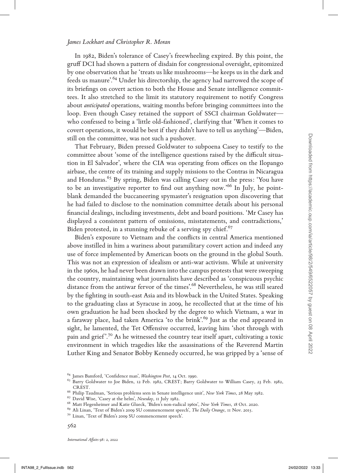In 1982, Biden's tolerance of Casey's freewheeling expired. By this point, the gruff DCI had shown a pattern of disdain for congressional oversight, epitomized by one observation that he 'treats us like mushrooms—he keeps us in the dark and feeds us manure'.64 Under his directorship, the agency had narrowed the scope of its briefings on covert action to both the House and Senate intelligence committees. It also stretched to the limit its statutory requirement to notify Congress about *anticipated* operations, waiting months before bringing committees into the loop. Even though Casey retained the support of SSCI chairman Goldwater who confessed to being a 'little old-fashioned', clarifying that 'When it comes to covert operations, it would be best if they didn't have to tell us anything'—Biden, still on the committee, was not such a pushover.

That February, Biden pressed Goldwater to subpoena Casey to testify to the committee about 'some of the intelligence questions raised by the difficult situation in El Salvador', where the CIA was operating from offices on the Ilopango airbase, the centre of its training and supply missions to the Contras in Nicaragua and Honduras.<sup>65</sup> By spring, Biden was calling Casey out in the press: 'You have to be an investigative reporter to find out anything now.'66 In July, he pointblank demanded the buccaneering spymaster's resignation upon discovering that he had failed to disclose to the nomination committee details about his personal financial dealings, including investments, debt and board positions. 'Mr Casey has displayed a consistent pattern of omissions, misstatements, and contradictions,' Biden protested, in a stunning rebuke of a serving spy chief. $67$ 

Biden's exposure to Vietnam and the conflicts in central America mentioned above instilled in him a wariness about paramilitary covert action and indeed any use of force implemented by American boots on the ground in the global South. This was not an expression of idealism or anti-war activism. While at university in the 1960s, he had never been drawn into the campus protests that were sweeping the country, maintaining what journalists have described as 'conspicuous psychic distance from the antiwar fervor of the times'.<sup>68</sup> Nevertheless, he was still seared by the fighting in south-east Asia and its blowback in the United States. Speaking to the graduating class at Syracuse in 2009, he recollected that at the time of his own graduation he had been shocked by the degree to which Vietnam, a war in a faraway place, had taken America 'to the brink'.<sup>69</sup> Just as the end appeared in sight, he lamented, the Tet Offensive occurred, leaving him 'shot through with pain and grief'.<sup>70</sup> As he witnessed the country tear itself apart, cultivating a toxic environment in which tragedies like the assassinations of the Reverend Martin Luther King and Senator Bobby Kennedy occurred, he was gripped by a 'sense of still on the contribute, was not are the intelligence equentities to the product in the stress of the simulations of the simulations of the simulations of the comtant intelligence and the product interval in Nash and Hord

<sup>&</sup>lt;sup>64</sup> James Bamford, 'Confidence man', *Washington Post*, 14 Oct. 1990.<br><sup>65</sup> Barry Goldwater to Joe Biden, 12 Feb. 1982, CREST; Barry Goldwater to William Casey, 23 Feb. 1982, CREST.<br>
<sup>66</sup> Philip Taudman, 'Serious problems seen in Senate intelligence unit', *New York Times*, 28 May 1982.<br>
<sup>67</sup> David Wise, 'Casey at the helm', *Newsday*, 11 July 1982.<br>
<sup>68</sup> Matt Flegenheimer and Katie Glueck, 'B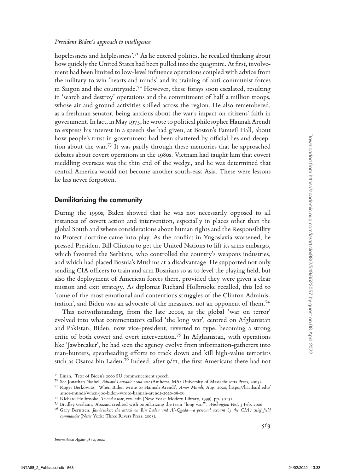hopelessness and helplessness'.<sup>71</sup> As he entered politics, he recalled thinking about how quickly the United States had been pulled into the quagmire. At first, involvement had been limited to low-level influence operations coupled with advice from the military to win 'hearts and minds' and its training of anti-communist forces in Saigon and the countryside.<sup>72</sup> However, these forays soon escalated, resulting in 'search and destroy' operations and the commitment of half a million troops, whose air and ground activities spilled across the region. He also remembered, as a freshman senator, being anxious about the war's impact on citizens' faith in government. In fact, in May 1975, he wrote to political philosopher Hannah Arendt to express his interest in a speech she had given, at Boston's Fanueil Hall, about how people's trust in government had been shattered by official lies and deception about the war.73 It was partly through these memories that he approached debates about covert operations in the 1980s. Vietnam had taught him that covert meddling overseas was the thin end of the wedge, and he was determined that central America would not become another south-east Asia. These were lessons he has never forgotten.

## Demilitarizing the community

During the 1990s, Biden showed that he was not necessarily opposed to all instances of covert action and intervention, especially in places other than the global South and where considerations about human rights and the Responsibility to Protect doctrine came into play. As the conflict in Yugoslavia worsened, he pressed President Bill Clinton to get the United Nations to lift its arms embargo, which favoured the Serbians, who controlled the country's weapons industries, and which had placed Bosnia's Muslims at a disadvantage. He supported not only sending CIA officers to train and arm Bosnians so as to level the playing field, but also the deployment of American forces there, provided they were given a clear mission and exit strategy. As diplomat Richard Holbrooke recalled, this led to 'some of the most emotional and contentious struggles of the Clinton Administration', and Biden was an advocate of the measures, not an opponent of them.74 how people's true in government table besn fastered by official lies and decepted<br>debte about cover operations in the 1980-A Vetram had tugalitum dure over the people of collecting mereas was the thus end of the weige, se

This notwithstanding, from the late 2000s, as the global 'war on terror' evolved into what commentators called 'the long war', centred on Afghanistan and Pakistan, Biden, now vice-president, reverted to type, becoming a strong critic of both covert and overt intervention.75 In Afghanistan, with operations like 'Jawbreaker', he had seen the agency evolve from information-gatherers into man-hunters, spearheading efforts to track down and kill high-value terrorists such as Osama bin Laden.<sup>76</sup> Indeed, after  $9/\text{II}$ , the first Americans there had not

<sup>&</sup>lt;sup>71</sup> Linan, 'Text of Biden's 2009 SU commencement speech'.<br>
<sup>72</sup> See Jonathan Nashel, *Edward Lansdale's cold war* (Amherst, MA: University of Massachusetts Press, 2005).<br>
<sup>73</sup> Roger Berkowitz, 'When Biden wrote to Hannah

<sup>&</sup>lt;sup>74</sup> Richard Holbrooke, *To end a war*, rev. edn (New York: Modern Library, 1999), pp. 30–31.<br><sup>75</sup> Bradley Graham, 'Abazaid credited with popularizing the term "long war"', *Washington Post*, 3 Feb. 2006.<br><sup>76</sup> Gary Bernts

*commander* (New York: Three Rivers Press, 2005).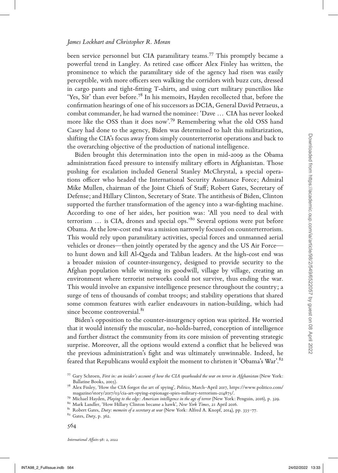been service personnel but CIA paramilitary teams.77 This promptly became a powerful trend in Langley. As retired case officer Alex Finley has written, the prominence to which the paramilitary side of the agency had risen was easily perceptible, with more officers seen walking the corridors with buzz cuts, dressed in cargo pants and tight-fitting T-shirts, and using curt military punctilios like 'Yes, Sir' than ever before.78 In his memoirs, Hayden recollected that, before the confirmation hearings of one of his successors as DCIA, General David Petraeus, a combat commander, he had warned the nominee: 'Dave ... CIA has never looked more like the OSS than it does now'.79 Remembering what the old OSS hand Casey had done to the agency, Biden was determined to halt this militarization, shifting the CIA's focus away from simply counterterrorist operations and back to the overarching objective of the production of national intelligence.

Biden brought this determination into the open in mid-2009 as the Obama administration faced pressure to intensify military efforts in Afghanistan. Those pushing for escalation included General Stanley McChrystal, a special operations officer who headed the International Security Assistance Force; Admiral Mike Mullen, chairman of the Joint Chiefs of Staff; Robert Gates, Secretary of Defense; and Hillary Clinton, Secretary of State. The antithesis of Biden, Clinton supported the further transformation of the agency into a war-fighting machine. According to one of her aides, her position was: 'All you need to deal with terrorism ... is CIA, drones and special ops.'80 Several options were put before Obama. At the low-cost end was a mission narrowly focused on counterterrorism. This would rely upon paramilitary activities, special forces and unmanned aerial vehicles or drones—then jointly operated by the agency and the US Air Force to hunt down and kill Al-Qaeda and Taliban leaders. At the high-cost end was a broader mission of counter-insurgency, designed to provide security to the Afghan population while winning its goodwill, village by village, creating an environment where terrorist networks could not survive, thus ending the war. This would involve an expansive intelligence presence throughout the country; a surge of tens of thousands of combat troops; and stability operations that shared some common features with earlier endeavours in nation-building, which had since become controversial.<sup>81</sup> shifting the CoIA is consume by from imply contract<br>renoted from this case, we can be colored from the consumer to the set of<br>material strength is determination in the from https://accore. In the colored from https://acco

Biden's opposition to the counter-insurgency option was spirited. He worried that it would intensify the muscular, no-holds-barred, conception of intelligence and further distract the community from its core mission of preventing strategic surprise. Moreover, all the options would extend a conflict that he believed was the previous administration's fight and was ultimately unwinnable. Indeed, he feared that Republicans would exploit the moment to christen it 'Obama's War'.<sup>82</sup>

<sup>77</sup> Gary Schroen, *First in: an insider's account of how the CIA spearheaded the war on terror in Afghanistan* (New York:

Ballatine Books, 2005).<br><sup>78</sup> Alex Finley, 'How the CIA forgot the art of spying', *Politico*, March–April 2017, https://www.politico.com/<br>magazine/story/2017/03/cia-art-spying-espionage-spies-military-terrorism-214875/.

<sup>&</sup>lt;sup>79</sup> Michael Hayden, *Playing to the edge: American intelligence in the age of terror* (New York: Penguin, 2016), p. 329.<br><sup>80</sup> Mark Landler, 'How Hillary Clinton became a hawk', *New York Times*, 21 April 2016.<br><sup>81</sup> Rober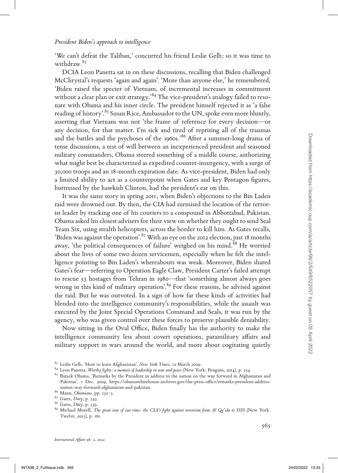'We can't defeat the Taliban,' concurred his friend Leslie Gelb; so it was time to withdraw.83

DCIA Leon Panetta sat in on these discussions, recalling that Biden challenged McChrystal's requests 'again and again'. 'More than anyone else,' he remembered, 'Biden raised the specter of Vietnam, of incremental increases in commitment without a clear plan or exit strategy.'<sup>84</sup> The vice-president's analogy failed to resonate with Obama and his inner circle. The president himself rejected it as 'a false reading of history'.<sup>85</sup> Susan Rice, Ambassador to the UN, spoke even more bluntly, asserting that Vietnam was not 'the frame of reference for every decision—or any decision, for that matter. I'm sick and tired of reprising all of the traumas and the battles and the psychoses of the 1960s.<sup>86</sup> After a summer-long drama of tense discussions, a test of will between an inexperienced president and seasoned military commanders, Obama steered something of a middle course, authorizing what might best be characterized as expedited counter-insurgency, with a surge of 30,000 troops and an 18-month expiration date. As vice-president, Biden had only a limited ability to act as a counterpoint when Gates and key Pentagon figures, buttressed by the hawkish Clinton, had the president's ear on this.

It was the same story in spring 2011, when Biden's objections to the Bin Laden raid were drowned out. By then, the CIA had surmised the location of the terrorist leader by tracking one of his couriers to a compound in Abbottabad, Pakistan. Obama asked his closest advisers for their view on whether they ought to send Seal Team Six, using stealth helicopters, across the border to kill him. As Gates recalls, 'Biden was against the operation'.<sup>87</sup> With an eye on the 2012 election, just 18 months away, 'the political consequences of failure' weighed on his mind.<sup>88</sup> He worried about the lives of some two dozen servicemen, especially when he felt the intelligence pointing to Bin Laden's whereabouts was weak. Moreover, Biden shared Gates's fear—referring to Operation Eagle Claw, President Carter's failed attempt to rescue 53 hostages from Tehran in 1980—that 'something almost always goes wrong in this kind of military operation'.<sup>89</sup> For these reasons, he advised against the raid. But he was outvoted. In a sign of how far these kinds of activities had blended into the intelligence community's responsibilities, while the assault was executed by the Joint Special Operations Command and Seals, it was run by the agency, who was given control over these forces to preserve plausible deniability. and the battles and the pyrobos of the topotomic mediation and interaction and interaction and interaction and interaction and interaction and interaction and interaction and interaction and interaction and interaction an

Now sitting in the Oval Office, Biden finally has the authority to make the intelligence community less about covert operations, paramilitary affairs and military support in wars around the world, and more about cogitating quietly

<sup>&</sup>lt;sup>83</sup> Leslie Gelb, 'How to leave Afghanistan', *New York Times*, 12 March 2009.<br><sup>84</sup> Leon Panetta, *Worthy fights: a memoir of leadership in war and peace* (New York: Penguin, 2014), p. 254.<br><sup>85</sup> Barack Obama, 'Remarks by Pakistan', 1 Dec. 2009, https://obamawhitehouse.archives.gov/the-press-office/remarks-president-addressnation-way-forward-afghanistan-and-pakistan.<br><sup>86</sup> Mann, *Obamians*, pp. 132–3.<br><sup>87</sup> Gates, *Duty*, p. 543.<br><sup>88</sup> Gates, *Duty*, p. 539.<br><sup>89</sup> Michael Morell, *The great war of our time: the CIA's fight against terrorism from* 

Twelve, 2015), p. 161.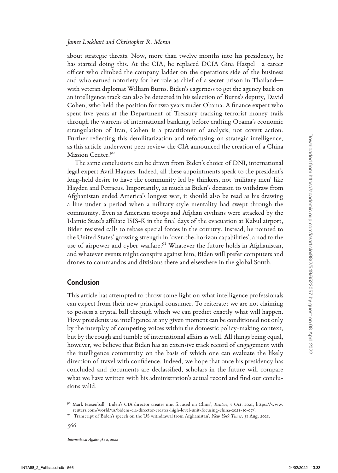about strategic threats. Now, more than twelve months into his presidency, he has started doing this. At the CIA, he replaced DCIA Gina Haspel—a career officer who climbed the company ladder on the operations side of the business and who earned notoriety for her role as chief of a secret prison in Thailand with veteran diplomat William Burns. Biden's eagerness to get the agency back on an intelligence track can also be detected in his selection of Burns's deputy, David Cohen, who held the position for two years under Obama. A finance expert who spent five years at the Department of Treasury tracking terrorist money trails through the warrens of international banking, before crafting Obama's economic strangulation of Iran, Cohen is a practitioner of analysis, not covert action. Further reflecting this demilitarization and refocusing on strategic intelligence, as this article underwent peer review the CIA announced the creation of a China Mission Center.<sup>90</sup>

The same conclusions can be drawn from Biden's choice of DNI, international legal expert Avril Haynes. Indeed, all these appointments speak to the president's long-held desire to have the community led by thinkers, not 'military men' like Hayden and Petraeus. Importantly, as much as Biden's decision to withdraw from Afghanistan ended America's longest war, it should also be read as his drawing a line under a period when a military-style mentality had swept through the community. Even as American troops and Afghan civilians were attacked by the Islamic State's affiliate ISIS-K in the final days of the evacuation at Kabul airport, Biden resisted calls to rebase special forces in the country. Instead, he pointed to the United States' growing strength in 'over-the-horizon capabilities', a nod to the use of airpower and cyber warfare.<sup>91</sup> Whatever the future holds in Afghanistan, and whatever events might conspire against him, Biden will prefer computers and drones to commandos and divisions there and elsewhere in the global South. If the reflecting this demotitization and reflection<br>grap on itstogic intelligence. Confer the care of the specific measure conditions can be drawn from Bules's choice of DNI, international paper and the sum conditions ca

## **Conclusion**

This article has attempted to throw some light on what intelligence professionals can expect from their new principal consumer. To reiterate: we are not claiming to possess a crystal ball through which we can predict exactly what will happen. How presidents use intelligence at any given moment can be conditioned not only by the interplay of competing voices within the domestic policy-making context, but by the rough and tumble of international affairs as well. All things being equal, however, we believe that Biden has an extensive track record of engagement with the intelligence community on the basis of which one can evaluate the likely direction of travel with confidence. Indeed, we hope that once his presidency has concluded and documents are declassified, scholars in the future will compare what we have written with his administration's actual record and find our conclusions valid.

<sup>90</sup> Mark Hosenball, 'Biden's CIA director creates unit focused on China', *Reuters*, 7 Oct. 2021, https://www.

reuters.com/world/us/bidens-cia-director-creates-high-level-unit-focusing-china-2021-10-07/. <sup>91</sup> 'Transcript of Biden's speech on the US withdrawal from Afghanistan', *New York Times*, 31 Aug. 2021.